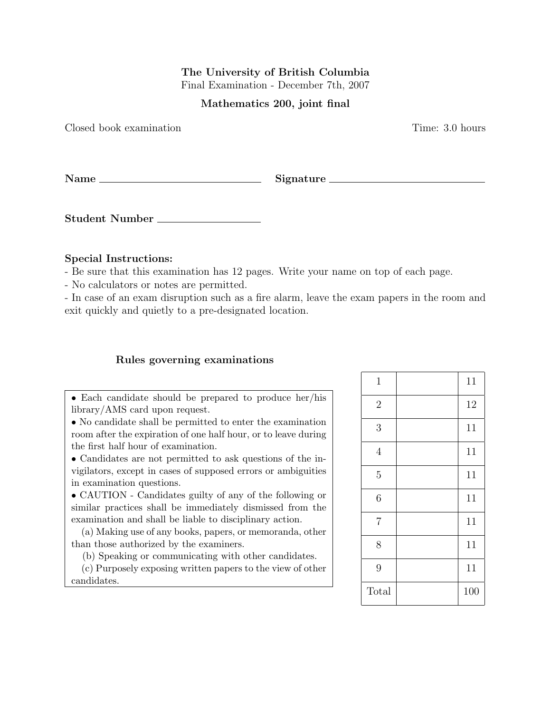## The University of British Columbia Final Examination - December 7th, 2007

### Mathematics 200, joint final

Closed book examination Time: 3.0 hours

Name Signature Signature

Student Number

## Special Instructions:

- Be sure that this examination has 12 pages. Write your name on top of each page.

- No calculators or notes are permitted.

- In case of an exam disruption such as a fire alarm, leave the exam papers in the room and exit quickly and quietly to a pre-designated location.

## Rules governing examinations

• Each candidate should be prepared to produce her/his library/AMS card upon request.

• No candidate shall be permitted to enter the examination room after the expiration of one half hour, or to leave during the first half hour of examination.

• Candidates are not permitted to ask questions of the invigilators, except in cases of supposed errors or ambiguities in examination questions.

• CAUTION - Candidates guilty of any of the following or similar practices shall be immediately dismissed from the examination and shall be liable to disciplinary action.

(a) Making use of any books, papers, or memoranda, other than those authorized by the examiners.

(b) Speaking or communicating with other candidates.

(c) Purposely exposing written papers to the view of other candidates.

| $\mathbf{1}$     | 11  |
|------------------|-----|
| $\overline{2}$   | 12  |
| 3                | 11  |
| $\overline{4}$   | 11  |
| $\overline{5}$   | 11  |
| $\boldsymbol{6}$ | 11  |
| $\overline{7}$   | 11  |
| 8                | 11  |
| 9                | 11  |
| Total            | 100 |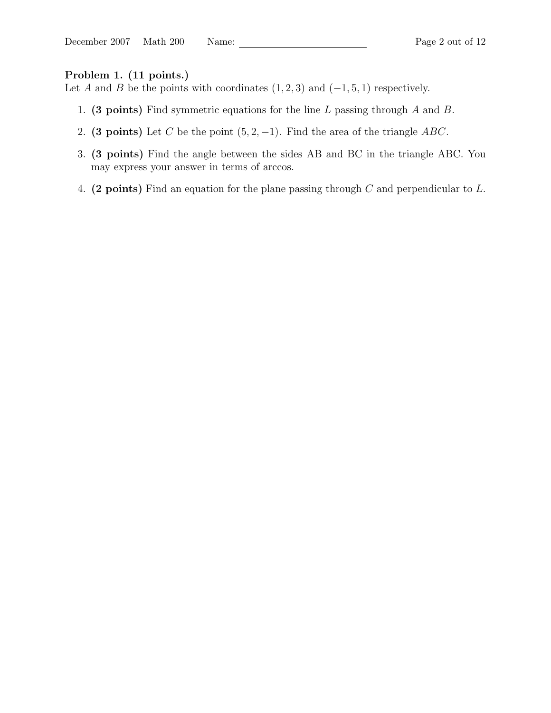#### Problem 1. (11 points.)

Let A and B be the points with coordinates  $(1, 2, 3)$  and  $(-1, 5, 1)$  respectively.

- 1. (3 points) Find symmetric equations for the line L passing through A and B.
- 2. (3 points) Let C be the point  $(5, 2, -1)$ . Find the area of the triangle ABC.
- 3. (3 points) Find the angle between the sides AB and BC in the triangle ABC. You may express your answer in terms of arccos.
- 4. (2 points) Find an equation for the plane passing through C and perpendicular to L.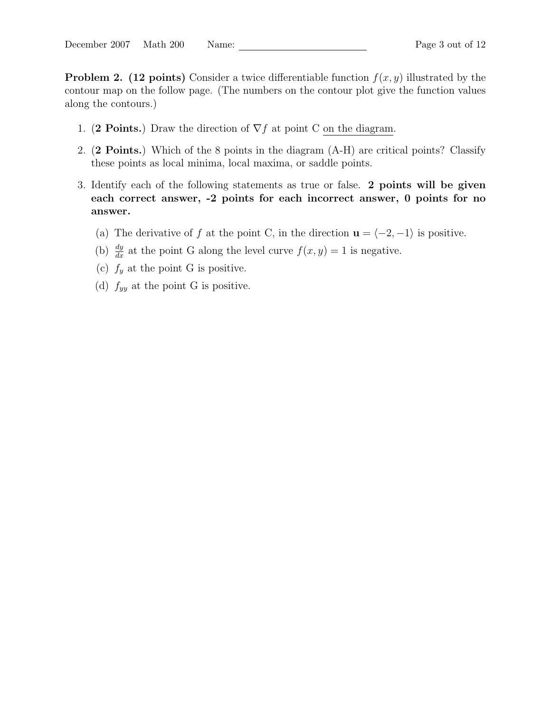**Problem 2.** (12 points) Consider a twice differentiable function  $f(x, y)$  illustrated by the contour map on the follow page. (The numbers on the contour plot give the function values along the contours.)

- 1. (2 Points.) Draw the direction of  $\nabla f$  at point C on the diagram.
- 2. (2 Points.) Which of the 8 points in the diagram (A-H) are critical points? Classify these points as local minima, local maxima, or saddle points.
- 3. Identify each of the following statements as true or false. 2 points will be given each correct answer, -2 points for each incorrect answer, 0 points for no answer.
	- (a) The derivative of f at the point C, in the direction  $\mathbf{u} = \langle -2, -1 \rangle$  is positive.
	- (b)  $\frac{dy}{dx}$  at the point G along the level curve  $f(x, y) = 1$  is negative.
	- (c)  $f_y$  at the point G is positive.
	- (d)  $f_{yy}$  at the point G is positive.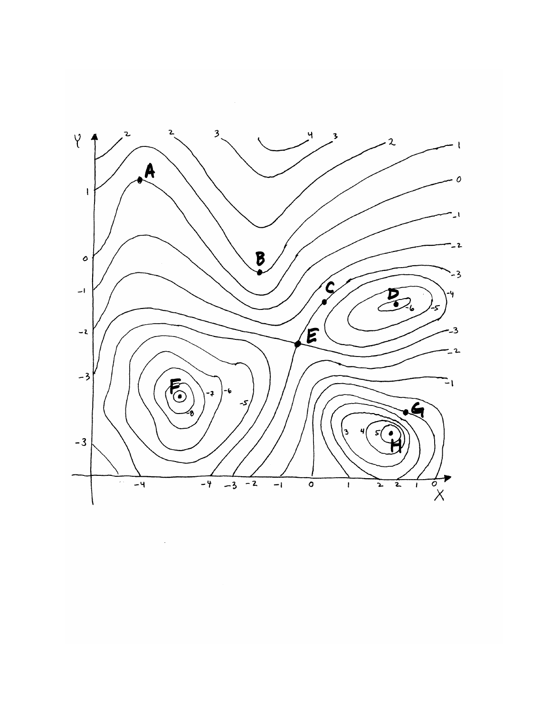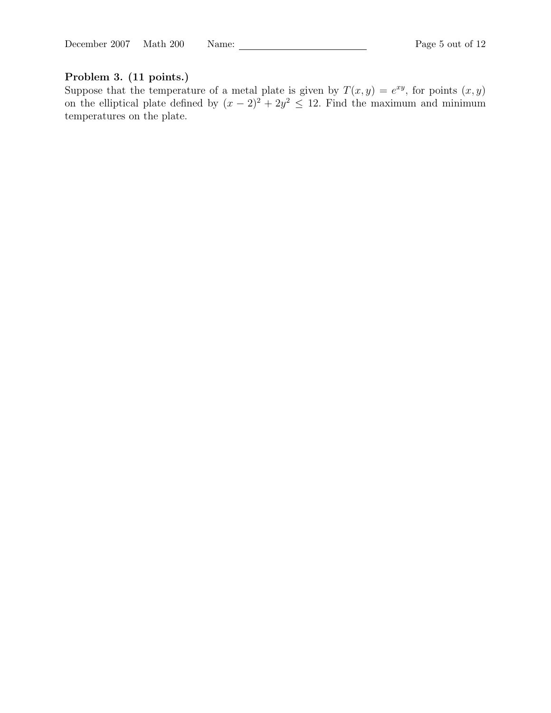## Problem 3. (11 points.)

Suppose that the temperature of a metal plate is given by  $T(x, y) = e^{xy}$ , for points  $(x, y)$ on the elliptical plate defined by  $(x-2)^2 + 2y^2 \le 12$ . Find the maximum and minimum temperatures on the plate.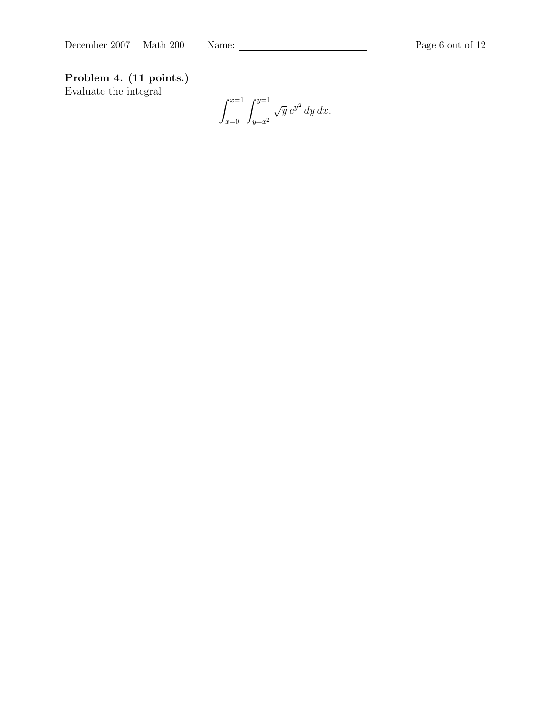December 2007 Math 200 Name: Page 6 out of 12

Problem 4. (11 points.) Evaluate the integral

 $\int_0^{x=1}$  $x=0$  $\int y=1$  $y=x^2$  $\sqrt{y} e^{y^2} dy dx$ .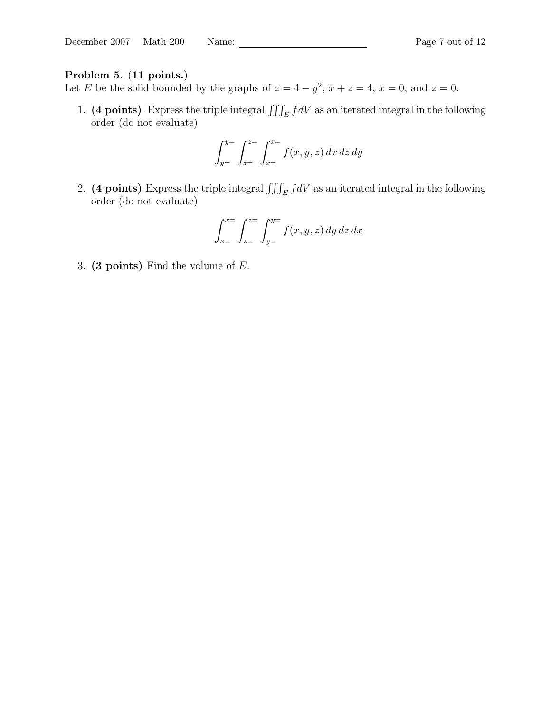#### Problem 5. (11 points.)

Let E be the solid bounded by the graphs of  $z = 4 - y^2$ ,  $x + z = 4$ ,  $x = 0$ , and  $z = 0$ .

1. (4 points) Express the triple integral  $\iiint_E f dV$  as an iterated integral in the following order (do not evaluate)

$$
\int_{y=}^{y=} \int_{z=}^{z=} \int_{x=}^{x=} f(x, y, z) \, dx \, dz \, dy
$$

2. (4 points) Express the triple integral  $\iiint_E f dV$  as an iterated integral in the following order (do not evaluate)

$$
\int_{x=}^{x=} \int_{z=}^{z=} \int_{y=}^{y=} f(x, y, z) dy dz dx
$$

3. (3 points) Find the volume of  $E$ .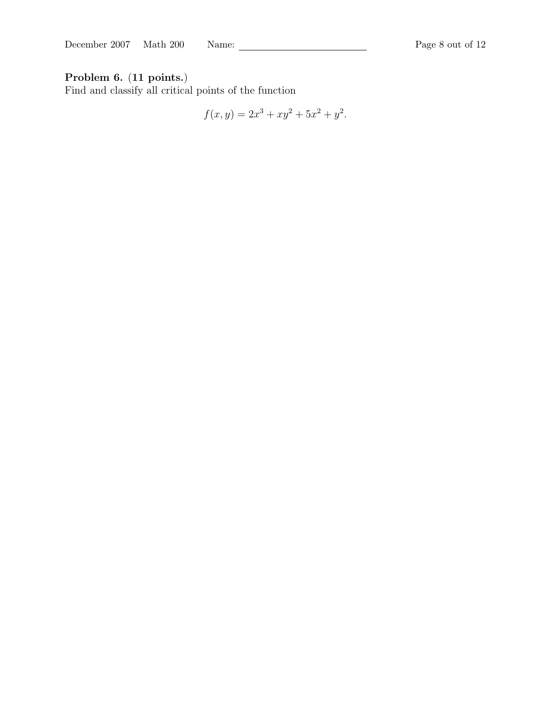# Problem 6. (11 points.)

Find and classify all critical points of the function

$$
f(x, y) = 2x^3 + xy^2 + 5x^2 + y^2.
$$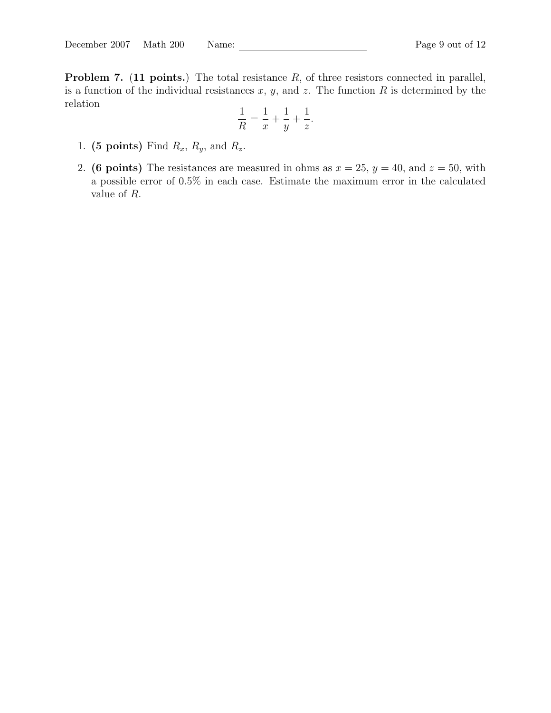**Problem 7.** (11 points.) The total resistance  $R$ , of three resistors connected in parallel, is a function of the individual resistances  $x, y$ , and  $z$ . The function  $R$  is determined by the relation

$$
\frac{1}{R} = \frac{1}{x} + \frac{1}{y} + \frac{1}{z}.
$$

- 1. (5 points) Find  $R_x$ ,  $R_y$ , and  $R_z$ .
- 2. (6 points) The resistances are measured in ohms as  $x = 25$ ,  $y = 40$ , and  $z = 50$ , with a possible error of 0.5% in each case. Estimate the maximum error in the calculated value of R.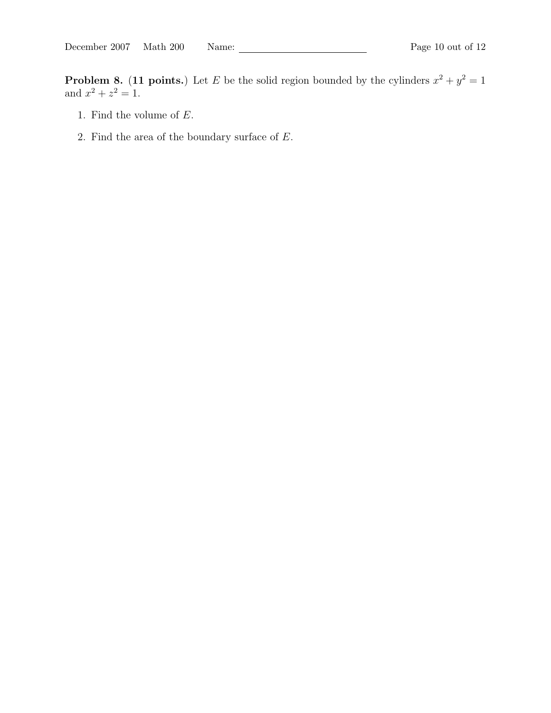**Problem 8.** (11 points.) Let E be the solid region bounded by the cylinders  $x^2 + y^2 = 1$ and  $x^2 + z^2 = 1$ .

- 1. Find the volume of  $E$ .
- 2. Find the area of the boundary surface of  $E$ .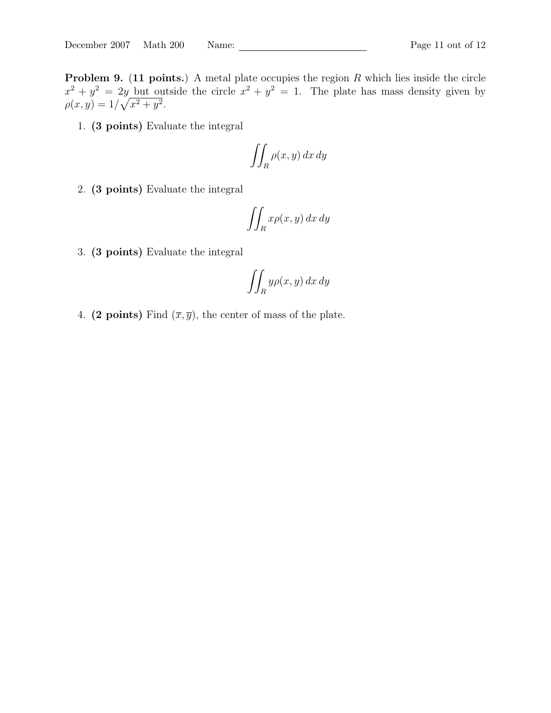**Problem 9.** (11 points.) A metal plate occupies the region  $R$  which lies inside the circle  $x^2 + y^2 = 2y$  but outside the circle  $x^2 + y^2 = 1$ . The plate has mass density given by  $\rho(x,y) = 1/\sqrt{x^2 + y^2}.$ 

1. (3 points) Evaluate the integral

$$
\iint_R \rho(x, y) \, dx \, dy
$$

2. (3 points) Evaluate the integral

$$
\iint_R x \rho(x, y) \, dx \, dy
$$

3. (3 points) Evaluate the integral

$$
\iint_R y \rho(x, y) \, dx \, dy
$$

4. (2 points) Find  $(\overline{x}, \overline{y})$ , the center of mass of the plate.